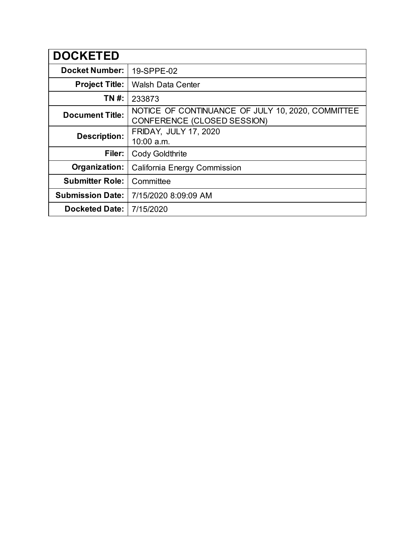| <b>DOCKETED</b>         |                                                                                  |  |  |
|-------------------------|----------------------------------------------------------------------------------|--|--|
| <b>Docket Number:</b>   | 19-SPPE-02                                                                       |  |  |
| <b>Project Title:</b>   | <b>Walsh Data Center</b>                                                         |  |  |
| TN #:                   | 233873                                                                           |  |  |
| <b>Document Title:</b>  | NOTICE OF CONTINUANCE OF JULY 10, 2020, COMMITTEE<br>CONFERENCE (CLOSED SESSION) |  |  |
| <b>Description:</b>     | <b>FRIDAY, JULY 17, 2020</b>                                                     |  |  |
|                         | 10:00 a.m.                                                                       |  |  |
| Filer:                  | <b>Cody Goldthrite</b>                                                           |  |  |
| Organization:           | California Energy Commission                                                     |  |  |
| <b>Submitter Role:</b>  | Committee                                                                        |  |  |
| <b>Submission Date:</b> | 7/15/2020 8:09:09 AM                                                             |  |  |
| <b>Docketed Date:</b>   | 7/15/2020                                                                        |  |  |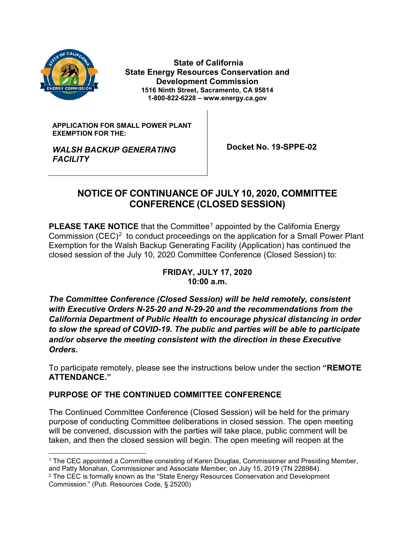

**State of California State Energy Resources Conservation and Development Commission 1516 Ninth Street, Sacramento, CA 95814 1-800-822-6228 – www.energy.ca.gov**

**APPLICATION FOR SMALL POWER PLANT EXEMPTION FOR THE:**

 **Docket No. 19-SPPE-02**

# *WALSH BACKUP GENERATING FACILITY*

## **NOTICE OF CONTINUANCE OF JULY 10, 2020, COMMITTEE CONFERENCE (CLOSED SESSION)**

**PLEASE TAKE NOTICE** that the Committee<sup>[1](#page-1-0)</sup> appointed by the California Energy Commission  $(CEC)^2$  to conduct proceedings on the application for a Small Power Plant Exemption for the Walsh Backup Generating Facility (Application) has continued the closed session of the July 10, 2020 Committee Conference (Closed Session) to:

#### **FRIDAY, JULY 17, 2020 10:00 a.m.**

*The Committee Conference (Closed Session) will be held remotely, consistent with Executive Orders N-25-20 and N-29-20 and the recommendations from the California Department of Public Health to encourage physical distancing in order to slow the spread of COVID-19. The public and parties will be able to participate and/or observe the meeting consistent with the direction in these Executive Orders.* 

To participate remotely, please see the instructions below under the section **"REMOTE ATTENDANCE."**

### **PURPOSE OF THE CONTINUED COMMITTEE CONFERENCE**

The Continued Committee Conference (Closed Session) will be held for the primary purpose of conducting Committee deliberations in closed session. The open meeting will be convened, discussion with the parties will take place, public comment will be taken, and then the closed session will begin. The open meeting will reopen at the

<span id="page-1-0"></span> <sup>1</sup> The CEC appointed a Committee consisting of Karen Douglas, Commissioner and Presiding Member, and Patty Monahan, Commissioner and Associate Member, on July 15, 2019 (TN 228984).

<span id="page-1-1"></span><sup>&</sup>lt;sup>2</sup> The CEC is formally known as the "State Energy Resources Conservation and Development Commission." (Pub. Resources Code, § 25200)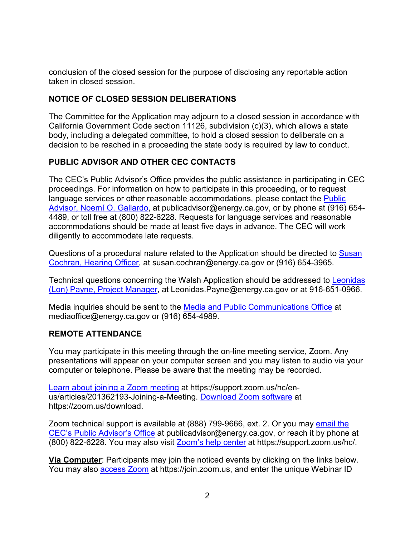conclusion of the closed session for the purpose of disclosing any reportable action taken in closed session.

### **NOTICE OF CLOSED SESSION DELIBERATIONS**

The Committee for the Application may adjourn to a closed session in accordance with California Government Code section 11126, subdivision (c)(3), which allows a state body, including a delegated committee, to hold a closed session to deliberate on a decision to be reached in a proceeding the state body is required by law to conduct.

### **PUBLIC ADVISOR AND OTHER CEC CONTACTS**

The CEC's Public Advisor's Office provides the public assistance in participating in CEC proceedings. For information on how to participate in this proceeding, or to request language services or other reasonable accommodations, please contact the [Public](mailto:publicadvisor@energy.ca.gov)  Advisor, Noemí [O. Gallardo,](mailto:publicadvisor@energy.ca.gov) at publicadvisor@energy.ca.gov, or by phone at (916) 654- 4489, or toll free at (800) 822-6228. Requests for language services and reasonable accommodations should be made at least five days in advance. The CEC will work diligently to accommodate late requests.

Questions of a procedural nature related to the Application should be directed to [Susan](mailto:susan.cochran@energy.ca.gov)  [Cochran, Hearing Officer,](mailto:susan.cochran@energy.ca.gov) at susan.cochran@energy.ca.gov or (916) 654-3965.

Technical questions concerning the Walsh Application should be addressed to [Leonidas](mailto:Leonidas.Payne@energy.ca.gov)  [\(Lon\) Payne, Project Manager,](mailto:Leonidas.Payne@energy.ca.gov) at Leonidas.Payne@energy.ca.gov or at 916-651-0966.

Media inquiries should be sent to the [Media and Public Communications Office](mailto:mediaoffice@energy.ca.gov) at mediaoffice@energy.ca.gov or (916) 654-4989.

### **REMOTE ATTENDANCE**

You may participate in this meeting through the on-line meeting service, Zoom. Any presentations will appear on your computer screen and you may listen to audio via your computer or telephone. Please be aware that the meeting may be recorded.

[Learn about joining a Zoom meeting](https://support.zoom.us/hc/en-us/articles/201362193-Joining-a-Meeting) at https://support.zoom.us/hc/enus/articles/201362193-Joining-a-Meeting. [Download Zoom software](https://zoom.us/download) at https://zoom.us/download.

Zoom technical support is available at (888) 799-9666, ext. 2. Or you may [email the](mailto:publicadvisor@energy.ca.gov)  [CEC's Public Advisor's Office](mailto:publicadvisor@energy.ca.gov) at publicadvisor@energy.ca.gov, or reach it by phone at (800) 822-6228. You may also visit [Zoom's help center](https://support.zoom.us/hc/) at https://support.zoom.us/hc/.

**Via Computer**: Participants may join the noticed events by clicking on the links below. You may also [access Zoom](https://join.zoom.us/) at https://join.zoom.us, and enter the unique Webinar ID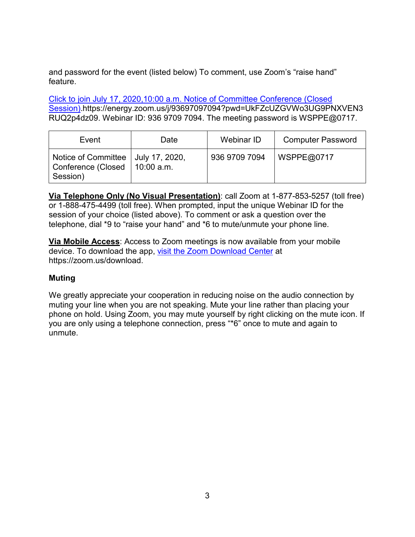and password for the event (listed below) To comment, use Zoom's "raise hand" feature.

Click to join [July 17, 2020,10:00 a.m. Notice of Committee Conference \(Closed](https://energy.zoom.us/j/93697097094?pwd=UkFZcUZGVWo3UG9PNXVEN3RUQ2p4dz09)  [Session\).](https://energy.zoom.us/j/93697097094?pwd=UkFZcUZGVWo3UG9PNXVEN3RUQ2p4dz09)https://energy.zoom.us/j/93697097094?pwd=UkFZcUZGVWo3UG9PNXVEN3 RUQ2p4dz09. Webinar ID: 936 9709 7094. The meeting password is WSPPE@0717.

| Event                                                                               | Date | Webinar ID    | <b>Computer Password</b> |
|-------------------------------------------------------------------------------------|------|---------------|--------------------------|
| Notice of Committee   July 17, 2020,<br>Conference (Closed   10:00 a.m.<br>Session) |      | 936 9709 7094 | WSPPE@0717               |

**Via Telephone Only (No Visual Presentation)**: call Zoom at 1-877-853-5257 (toll free) or 1-888-475-4499 (toll free). When prompted, input the unique Webinar ID for the session of your choice (listed above). To comment or ask a question over the telephone, dial \*9 to "raise your hand" and \*6 to mute/unmute your phone line.

**Via Mobile Access**: Access to Zoom meetings is now available from your mobile device. To download the app, [visit the Zoom Download Center](https://zoom.us/download) at https://zoom.us/download.

### **Muting**

We greatly appreciate your cooperation in reducing noise on the audio connection by muting your line when you are not speaking. Mute your line rather than placing your phone on hold. Using Zoom, you may mute yourself by right clicking on the mute icon. If you are only using a telephone connection, press "\*6" once to mute and again to unmute.